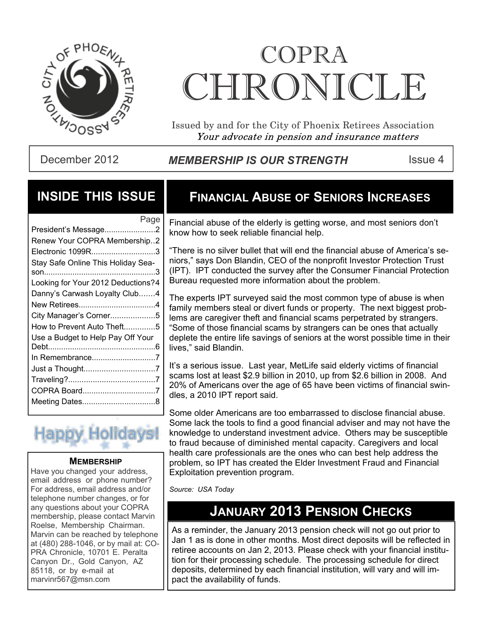

# COPRA CHRONICI.E

Issued by and for the City of Phoenix Retirees Association Your advocate in pension and insurance matters

December 2012 **MEMBERSHIP IS OUR STRENGTH** ISSue 4

### **INSIDE THIS ISSUE**

| Page                               |
|------------------------------------|
| President's Message2               |
| Renew Your COPRA Membership2       |
| Electronic 1099R3                  |
| Stay Safe Online This Holiday Sea- |
|                                    |
| Looking for Your 2012 Deductions?4 |
| Danny's Carwash Loyalty Club4      |
|                                    |
| City Manager's Corner5             |
| How to Prevent Auto Theft5         |
| Use a Budget to Help Pay Off Your  |
|                                    |
| In Remembrance7                    |
|                                    |
|                                    |
| COPRA Board7                       |
|                                    |
|                                    |

# **Happy Holidays**

### **MEMBERSHIP**

Have you changed your address, email address or phone number? For address, email address and/or telephone number changes, or for any questions about your COPRA membership, please contact Marvin Roelse, Membership Chairman. Marvin can be reached by telephone at (480) 288-1046, or by mail at: CO-PRA Chronicle, 10701 E. Peralta Canyon Dr., Gold Canyon, AZ 85118, or by e-mail at marvinr567@msn.com

# **FINANCIAL ABUSE OF SENIORS INCREASES**

Financial abuse of the elderly is getting worse, and most seniors don't know how to seek reliable financial help.

"There is no silver bullet that will end the financial abuse of America's seniors," says Don Blandin, CEO of the nonprofit Investor Protection Trust (IPT). IPT conducted the survey after the Consumer Financial Protection Bureau requested more information about the problem.

The experts IPT surveyed said the most common type of abuse is when family members steal or divert funds or property. The next biggest problems are caregiver theft and financial scams perpetrated by strangers. "Some of those financial scams by strangers can be ones that actually deplete the entire life savings of seniors at the worst possible time in their lives," said Blandin.

It's a serious issue. Last year, MetLife said elderly victims of financial scams lost at least \$2.9 billion in 2010, up from \$2.6 billion in 2008. And 20% of Americans over the age of 65 have been victims of financial swindles, a 2010 IPT report said.

Some older Americans are too embarrassed to disclose financial abuse. Some lack the tools to find a good financial adviser and may not have the knowledge to understand investment advice. Others may be susceptible to fraud because of diminished mental capacity. Caregivers and local health care professionals are the ones who can best help address the problem, so IPT has created the Elder Investment Fraud and Financial Exploitation prevention program.

*Source: USA Today*

### **JANUARY 2013 PENSION CHECKS**

As a reminder, the January 2013 pension check will not go out prior to Jan 1 as is done in other months. Most direct deposits will be reflected in retiree accounts on Jan 2, 2013. Please check with your financial institution for their processing schedule. The processing schedule for direct deposits, determined by each financial institution, will vary and will impact the availability of funds.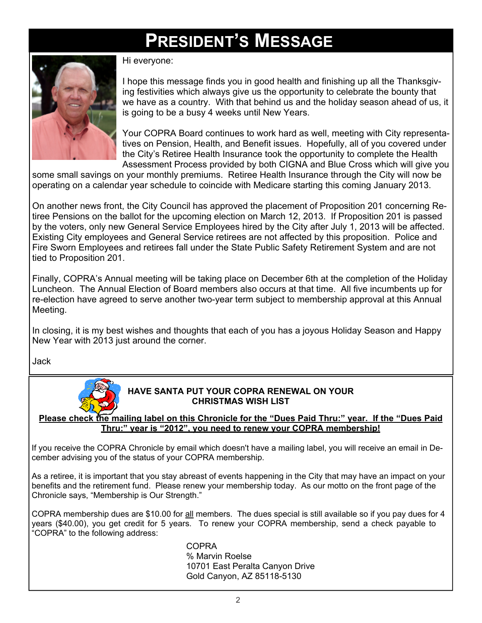# **PRESIDENT'S MESSAGE**



Hi everyone:

I hope this message finds you in good health and finishing up all the Thanksgiving festivities which always give us the opportunity to celebrate the bounty that we have as a country. With that behind us and the holiday season ahead of us, it is going to be a busy 4 weeks until New Years.

Your COPRA Board continues to work hard as well, meeting with City representatives on Pension, Health, and Benefit issues. Hopefully, all of you covered under the City's Retiree Health Insurance took the opportunity to complete the Health Assessment Process provided by both CIGNA and Blue Cross which will give you

some small savings on your monthly premiums. Retiree Health Insurance through the City will now be operating on a calendar year schedule to coincide with Medicare starting this coming January 2013.

On another news front, the City Council has approved the placement of Proposition 201 concerning Retiree Pensions on the ballot for the upcoming election on March 12, 2013. If Proposition 201 is passed by the voters, only new General Service Employees hired by the City after July 1, 2013 will be affected. Existing City employees and General Service retirees are not affected by this proposition. Police and Fire Sworn Employees and retirees fall under the State Public Safety Retirement System and are not tied to Proposition 201.

Finally, COPRA's Annual meeting will be taking place on December 6th at the completion of the Holiday Luncheon. The Annual Election of Board members also occurs at that time. All five incumbents up for re-election have agreed to serve another two-year term subject to membership approval at this Annual Meeting.

In closing, it is my best wishes and thoughts that each of you has a joyous Holiday Season and Happy New Year with 2013 just around the corner.

Jack



### **HAVE SANTA PUT YOUR COPRA RENEWAL ON YOUR CHRISTMAS WISH LIST**

**Please check the mailing label on this Chronicle for the "Dues Paid Thru:" year. If the "Dues Paid Thru:" year is "2012", you need to renew your COPRA membership!**

If you receive the COPRA Chronicle by email which doesn't have a mailing label, you will receive an email in December advising you of the status of your COPRA membership.

As a retiree, it is important that you stay abreast of events happening in the City that may have an impact on your benefits and the retirement fund. Please renew your membership today. As our motto on the front page of the Chronicle says, "Membership is Our Strength."

COPRA membership dues are \$10.00 for all members. The dues special is still available so if you pay dues for 4 years (\$40.00), you get credit for 5 years. To renew your COPRA membership, send a check payable to "COPRA" to the following address:

> COPRA % Marvin Roelse 10701 East Peralta Canyon Drive Gold Canyon, AZ 85118-5130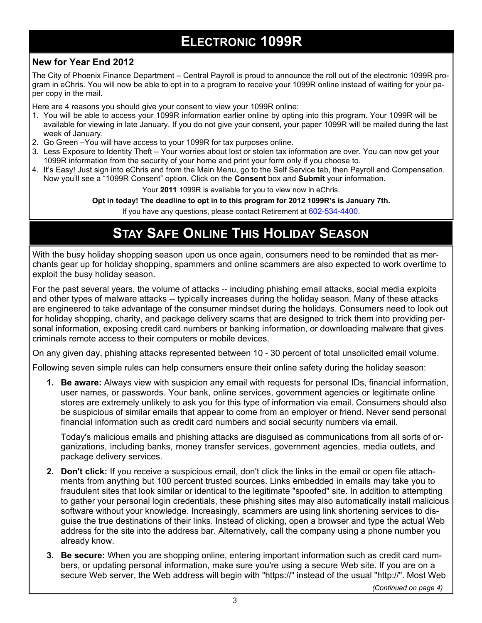# **ELECTRONIC 1099R**

### **New for Year End 2012**

The City of Phoenix Finance Department – Central Payroll is proud to announce the roll out of the electronic 1099R program in eChris. You will now be able to opt in to a program to receive your 1099R online instead of waiting for your paper copy in the mail.

Here are 4 reasons you should give your consent to view your 1099R online:

- 1. You will be able to access your 1099R information earlier online by opting into this program. Your 1099R will be available for viewing in late January. If you do not give your consent, your paper 1099R will be mailed during the last week of January.
- 2. Go Green –You will have access to your 1099R for tax purposes online.
- 3. Less Exposure to Identity Theft Your worries about lost or stolen tax information are over. You can now get your 1099R information from the security of your home and print your form only if you choose to.
- 4. It's Easy! Just sign into eChris and from the Main Menu, go to the Self Service tab, then Payroll and Compensation. Now you'll see a "1099R Consent" option. Click on the **Consent** box and **Submit** your information.

Your **2011** 1099R is available for you to view now in eChris.

**Opt in today! The deadline to opt in to this program for 2012 1099R's is January 7th.**

If you have any questions, please contact Retirement at 602-534-4400.

# **STAY SAFE ONLINE THIS HOLIDAY SEASON**

With the busy holiday shopping season upon us once again, consumers need to be reminded that as merchants gear up for holiday shopping, spammers and online scammers are also expected to work overtime to exploit the busy holiday season.

For the past several years, the volume of attacks -- including phishing email attacks, social media exploits and other types of malware attacks -- typically increases during the holiday season. Many of these attacks are engineered to take advantage of the consumer mindset during the holidays. Consumers need to look out for holiday shopping, charity, and package delivery scams that are designed to trick them into providing personal information, exposing credit card numbers or banking information, or downloading malware that gives criminals remote access to their computers or mobile devices.

On any given day, phishing attacks represented between 10 - 30 percent of total unsolicited email volume.

Following seven simple rules can help consumers ensure their online safety during the holiday season:

**1. Be aware:** Always view with suspicion any email with requests for personal IDs, financial information, user names, or passwords. Your bank, online services, government agencies or legitimate online stores are extremely unlikely to ask you for this type of information via email. Consumers should also be suspicious of similar emails that appear to come from an employer or friend. Never send personal financial information such as credit card numbers and social security numbers via email.

Today's malicious emails and phishing attacks are disguised as communications from all sorts of organizations, including banks, money transfer services, government agencies, media outlets, and package delivery services.

- **2. Don't click:** If you receive a suspicious email, don't click the links in the email or open file attachments from anything but 100 percent trusted sources. Links embedded in emails may take you to fraudulent sites that look similar or identical to the legitimate "spoofed" site. In addition to attempting to gather your personal login credentials, these phishing sites may also automatically install malicious software without your knowledge. Increasingly, scammers are using link shortening services to disguise the true destinations of their links. Instead of clicking, open a browser and type the actual Web address for the site into the address bar. Alternatively, call the company using a phone number you already know.
- **3. Be secure:** When you are shopping online, entering important information such as credit card numbers, or updating personal information, make sure you're using a secure Web site. If you are on a secure Web server, the Web address will begin with "https://" instead of the usual "http://". Most Web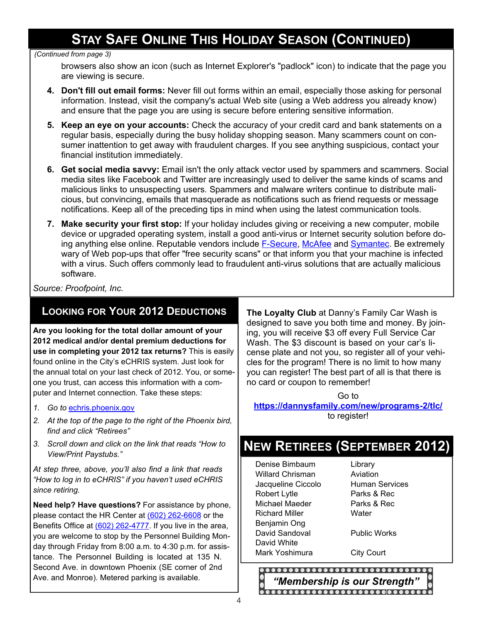# **STAY SAFE ONLINE THIS HOLIDAY SEASON (CONTINUED)**

#### *(Continued from page 3)*

browsers also show an icon (such as Internet Explorer's "padlock" icon) to indicate that the page you are viewing is secure.

- **4. Don't fill out email forms:** Never fill out forms within an email, especially those asking for personal information. Instead, visit the company's actual Web site (using a Web address you already know) and ensure that the page you are using is secure before entering sensitive information.
- **5. Keep an eye on your accounts:** Check the accuracy of your credit card and bank statements on a regular basis, especially during the busy holiday shopping season. Many scammers count on consumer inattention to get away with fraudulent charges. If you see anything suspicious, contact your financial institution immediately.
- **6. Get social media savvy:** Email isn't the only attack vector used by spammers and scammers. Social media sites like Facebook and Twitter are increasingly used to deliver the same kinds of scams and malicious links to unsuspecting users. Spammers and malware writers continue to distribute malicious, but convincing, emails that masquerade as notifications such as friend requests or message notifications. Keep all of the preceding tips in mind when using the latest communication tools.
- **7. Make security your first stop:** If your holiday includes giving or receiving a new computer, mobile device or upgraded operating system, install a good anti-virus or Internet security solution before doing anything else online. Reputable vendors include F-Secure, McAfee and Symantec. Be extremely wary of Web pop-ups that offer "free security scans" or that inform you that your machine is infected with a virus. Such offers commonly lead to fraudulent anti-virus solutions that are actually malicious software.

*Source: Proofpoint, Inc.*

### **LOOKING FOR YOUR 2012 DEDUCTIONS**

**Are you looking for the total dollar amount of your 2012 medical and/or dental premium deductions for use in completing your 2012 tax returns?** This is easily found online in the City's eCHRIS system. Just look for the annual total on your last check of 2012. You, or someone you trust, can access this information with a computer and Internet connection. Take these steps:

- *1. Go to* echris.phoenix.gov
- *2. At the top of the page to the right of the Phoenix bird, find and click "Retirees"*
- *3. Scroll down and click on the link that reads "How to View/Print Paystubs."*

*At step three, above, you'll also find a link that reads "How to log in to eCHRIS" if you haven't used eCHRIS since retiring.*

**Need help? Have questions?** For assistance by phone, please contact the HR Center at (602) 262-6608 or the Benefits Office at (602) 262-4777. If you live in the area, you are welcome to stop by the Personnel Building Monday through Friday from 8:00 a.m. to 4:30 p.m. for assistance. The Personnel Building is located at 135 N. Second Ave. in downtown Phoenix (SE corner of 2nd Ave. and Monroe). Metered parking is available.

**The Loyalty Club** at Danny's Family Car Wash is designed to save you both time and money. By joining, you will receive \$3 off every Full Service Car Wash. The \$3 discount is based on your car's license plate and not you, so register all of your vehicles for the program! There is no limit to how many you can register! The best part of all is that there is no card or coupon to remember!

Go to **<https://dannysfamily.com/new/programs-2/tlc/>** to register!

# **NEW RETIREES (SEPTEMBER 2012)**

Denise Bimbaum Willard Chrisman Jacqueline Ciccolo Robert Lytle Michael Maeder Richard Miller Benjamin Ong David Sandoval David White Mark Yoshimura City Court

Library Aviation Human Services Parks & Rec Parks & Rec **Water** 

Public Works

*"Membership is our Strength"*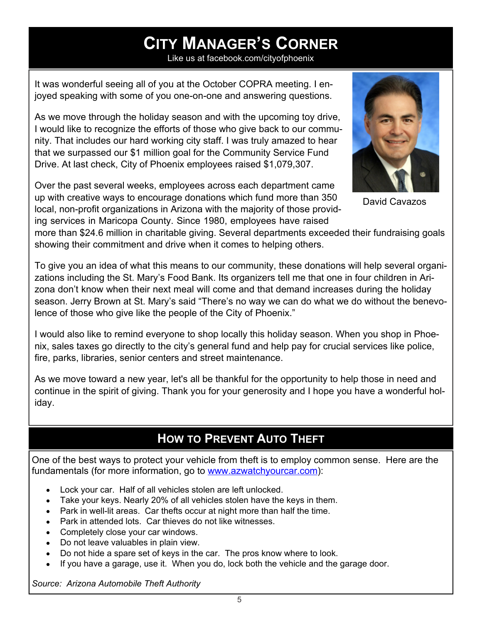# **CITY MANAGER'S CORNER**

Like us at facebook.com/cityofphoenix

It was wonderful seeing all of you at the October COPRA meeting. I enjoyed speaking with some of you one-on-one and answering questions.

As we move through the holiday season and with the upcoming toy drive, I would like to recognize the efforts of those who give back to our community. That includes our hard working city staff. I was truly amazed to hear that we surpassed our \$1 million goal for the Community Service Fund Drive. At last check, City of Phoenix employees raised \$1,079,307.

Over the past several weeks, employees across each department came up with creative ways to encourage donations which fund more than 350 local, non-profit organizations in Arizona with the majority of those providing services in Maricopa County. Since 1980, employees have raised



David Cavazos

more than \$24.6 million in charitable giving. Several departments exceeded their fundraising goals showing their commitment and drive when it comes to helping others.

To give you an idea of what this means to our community, these donations will help several organizations including the St. Mary's Food Bank. Its organizers tell me that one in four children in Arizona don't know when their next meal will come and that demand increases during the holiday season. Jerry Brown at St. Mary's said "There's no way we can do what we do without the benevolence of those who give like the people of the City of Phoenix."

I would also like to remind everyone to shop locally this holiday season. When you shop in Phoenix, sales taxes go directly to the city's general fund and help pay for crucial services like police, fire, parks, libraries, senior centers and street maintenance.

As we move toward a new year, let's all be thankful for the opportunity to help those in need and continue in the spirit of giving. Thank you for your generosity and I hope you have a wonderful holiday.

# **HOW TO PREVENT AUTO THEFT**

One of the best ways to protect your vehicle from theft is to employ common sense. Here are the fundamentals (for more information, go to www.azwatchyourcar.com):

- Lock your car. Half of all vehicles stolen are left unlocked.
- Take your keys. Nearly 20% of all vehicles stolen have the keys in them.
- Park in well-lit areas. Car thefts occur at night more than half the time.
- Park in attended lots. Car thieves do not like witnesses.
- Completely close your car windows.
- Do not leave valuables in plain view.
- Do not hide a spare set of keys in the car. The pros know where to look.
- If you have a garage, use it. When you do, lock both the vehicle and the garage door.

*Source: Arizona Automobile Theft Authority*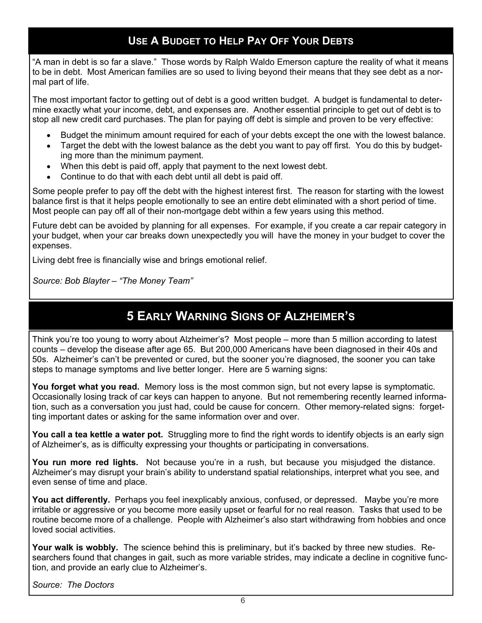### **USE A BUDGET TO HELP PAY OFF YOUR DEBTS**

"A man in debt is so far a slave." Those words by Ralph Waldo Emerson capture the reality of what it means to be in debt. Most American families are so used to living beyond their means that they see debt as a normal part of life.

The most important factor to getting out of debt is a good written budget. A budget is fundamental to determine exactly what your income, debt, and expenses are. Another essential principle to get out of debt is to stop all new credit card purchases. The plan for paying off debt is simple and proven to be very effective:

- Budget the minimum amount required for each of your debts except the one with the lowest balance.
- Target the debt with the lowest balance as the debt you want to pay off first. You do this by budgeting more than the minimum payment.
- When this debt is paid off, apply that payment to the next lowest debt.
- Continue to do that with each debt until all debt is paid off.

Some people prefer to pay off the debt with the highest interest first. The reason for starting with the lowest balance first is that it helps people emotionally to see an entire debt eliminated with a short period of time. Most people can pay off all of their non-mortgage debt within a few years using this method.

Future debt can be avoided by planning for all expenses. For example, if you create a car repair category in your budget, when your car breaks down unexpectedly you will have the money in your budget to cover the expenses.

Living debt free is financially wise and brings emotional relief.

*Source: Bob Blayter – "The Money Team"*

# **5 EARLY WARNING SIGNS OF ALZHEIMER'S**

Think you're too young to worry about Alzheimer's? Most people – more than 5 million according to latest counts – develop the disease after age 65. But 200,000 Americans have been diagnosed in their 40s and 50s. Alzheimer's can't be prevented or cured, but the sooner you're diagnosed, the sooner you can take steps to manage symptoms and live better longer. Here are 5 warning signs:

**You forget what you read.** Memory loss is the most common sign, but not every lapse is symptomatic. Occasionally losing track of car keys can happen to anyone. But not remembering recently learned information, such as a conversation you just had, could be cause for concern. Other memory-related signs: forgetting important dates or asking for the same information over and over.

**You call a tea kettle a water pot.** Struggling more to find the right words to identify objects is an early sign of Alzheimer's, as is difficulty expressing your thoughts or participating in conversations.

**You run more red lights.** Not because you're in a rush, but because you misjudged the distance. Alzheimer's may disrupt your brain's ability to understand spatial relationships, interpret what you see, and even sense of time and place.

**You act differently.** Perhaps you feel inexplicably anxious, confused, or depressed. Maybe you're more irritable or aggressive or you become more easily upset or fearful for no real reason. Tasks that used to be routine become more of a challenge. People with Alzheimer's also start withdrawing from hobbies and once loved social activities.

**Your walk is wobbly.** The science behind this is preliminary, but it's backed by three new studies. Researchers found that changes in gait, such as more variable strides, may indicate a decline in cognitive function, and provide an early clue to Alzheimer's.

*Source: The Doctors*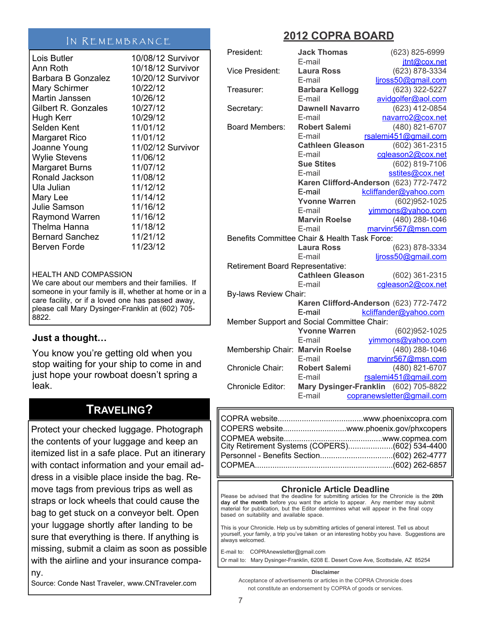### IN REMEMBRANCE

| Lois Butler               | 10/08/12 Survivor |
|---------------------------|-------------------|
| Ann Roth                  | 10/18/12 Survivor |
| <b>Barbara B Gonzalez</b> | 10/20/12 Survivor |
| <b>Mary Schirmer</b>      | 10/22/12          |
| Martin Janssen            | 10/26/12          |
| Gilbert R. Gonzales       | 10/27/12          |
| Hugh Kerr                 | 10/29/12          |
| Selden Kent               | 11/01/12          |
| <b>Margaret Rico</b>      | 11/01/12          |
| Joanne Young              | 11/02/12 Survivor |
| <b>Wylie Stevens</b>      | 11/06/12          |
| <b>Margaret Burns</b>     | 11/07/12          |
| Ronald Jackson            | 11/08/12          |
| Ula Julian                | 11/12/12          |
|                           |                   |
| Mary Lee                  | 11/14/12          |
| Julie Samson              | 11/16/12          |
| <b>Raymond Warren</b>     | 11/16/12          |
| Thelma Hanna              | 11/18/12          |
| Bernard Sanchez           | 11/21/12          |
| Berven Forde              | 11/23/12          |
|                           |                   |

#### HEALTH AND COMPASSION

We care about our members and their families. If someone in your family is ill, whether at home or in a care facility, or if a loved one has passed away, please call Mary Dysinger-Franklin at (602) 705- 8822.

### **Just a thought…**

You know you're getting old when you stop waiting for your ship to come in and just hope your rowboat doesn't spring a leak.

### **TRAVELING?**

Protect your checked luggage. Photograph the contents of your luggage and keep an itemized list in a safe place. Put an itinerary with contact information and your email address in a visible place inside the bag. Remove tags from previous trips as well as straps or lock wheels that could cause the bag to get stuck on a conveyor belt. Open your luggage shortly after landing to be sure that everything is there. If anything is missing, submit a claim as soon as possible with the airline and your insurance company.

Source: Conde Nast Traveler, www.CNTraveler.com

### **2012 COPRA BOARD**

| President:                              | <b>Jack Thomas</b>                            | (623) 825-6999                         |
|-----------------------------------------|-----------------------------------------------|----------------------------------------|
|                                         | E-mail                                        | jtnt@cox.net                           |
| <b>Vice President:</b>                  | <b>Laura Ross</b>                             | (623) 878-3334                         |
|                                         | E-mail                                        | ljross50@gmail.com                     |
| Treasurer:                              | <b>Barbara Kellogg</b>                        | (623) 322-5227                         |
|                                         | E-mail                                        | avidgolfer@aol.com                     |
| Secretary:                              | <b>Dawnell Navarro</b>                        | (623) 412-0854                         |
|                                         | E-mail                                        | navarro2@cox.net                       |
| <b>Board Members:</b>                   | <b>Robert Salemi</b>                          | (480) 821-6707                         |
|                                         | E-mail                                        | rsalemi451@gmail.com                   |
|                                         | <b>Cathleen Gleason</b>                       | (602) 361-2315                         |
|                                         | E-mail                                        | cgleason2@cox.net                      |
|                                         | <b>Sue Stites</b>                             | (602) 819-7106                         |
|                                         | E-mail                                        | sstites@cox.net                        |
|                                         |                                               | Karen Clifford-Anderson (623) 772-7472 |
|                                         | E-mail                                        | kcliffander@yahoo.com                  |
|                                         | <b>Yvonne Warren</b>                          | (602)952-1025                          |
|                                         | E-mail                                        | vimmons@yahoo.com                      |
|                                         | <b>Marvin Roelse</b>                          | (480) 288-1046                         |
|                                         | E-mail                                        | marvinr567@msn.com                     |
|                                         | Benefits Committee Chair & Health Task Force: |                                        |
|                                         | <b>Laura Ross</b>                             | (623) 878-3334                         |
|                                         | E-mail                                        | liross50@gmail.com                     |
| <b>Retirement Board Representative:</b> |                                               |                                        |
|                                         | <b>Cathleen Gleason</b>                       | (602) 361-2315                         |
|                                         | E-mail                                        | cgleason2@cox.net                      |
| <b>By-laws Review Chair:</b>            |                                               |                                        |
|                                         |                                               | Karen Clifford-Anderson (623) 772-7472 |
|                                         | E-mail                                        | kcliffander@yahoo.com                  |
|                                         | Member Support and Social Committee Chair:    |                                        |
|                                         | <b>Yvonne Warren</b>                          | (602)952-1025                          |
|                                         | E-mail                                        | yimmons@yahoo.com                      |
| Membership Chair:                       | <b>Marvin Roelse</b>                          | (480) 288-1046                         |
|                                         | E-mail                                        | marvinr567@msn.com                     |
| Chronicle Chair:                        | <b>Robert Salemi</b>                          | (480) 821-6707                         |
|                                         | E-mail                                        | rsalemi451@gmail.com                   |
| <b>Chronicle Editor:</b>                |                                               | Mary Dysinger-Franklin (602) 705-8822  |
|                                         | E-mail                                        | copranewsletter@gmail.com              |

| COPERS websitewww.phoenix.gov/phxcopers         |  |
|-------------------------------------------------|--|
| ∥City Retirement Systems (COPERS)(602) 534-4400 |  |
|                                                 |  |
|                                                 |  |

### **Chronicle Article Deadline**

Please be advised that the deadline for submitting articles for the Chronicle is the **20th day of the month** before you want the article to appear. Any member may submit material for publication, but the Editor determines what will appear in the final copy based on suitability and available space.

This is your Chronicle. Help us by submitting articles of general interest. Tell us about yourself, your family, a trip you've taken or an interesting hobby you have. Suggestions are always welcomed.

E-mail to: COPRAnewsletter@gmail.com Or mail to: Mary Dysinger-Franklin, 6208 E. Desert Cove Ave, Scottsdale, AZ 85254

#### **Disclaimer**

Acceptance of advertisements or articles in the COPRA Chronicle does not constitute an endorsement by COPRA of goods or services.